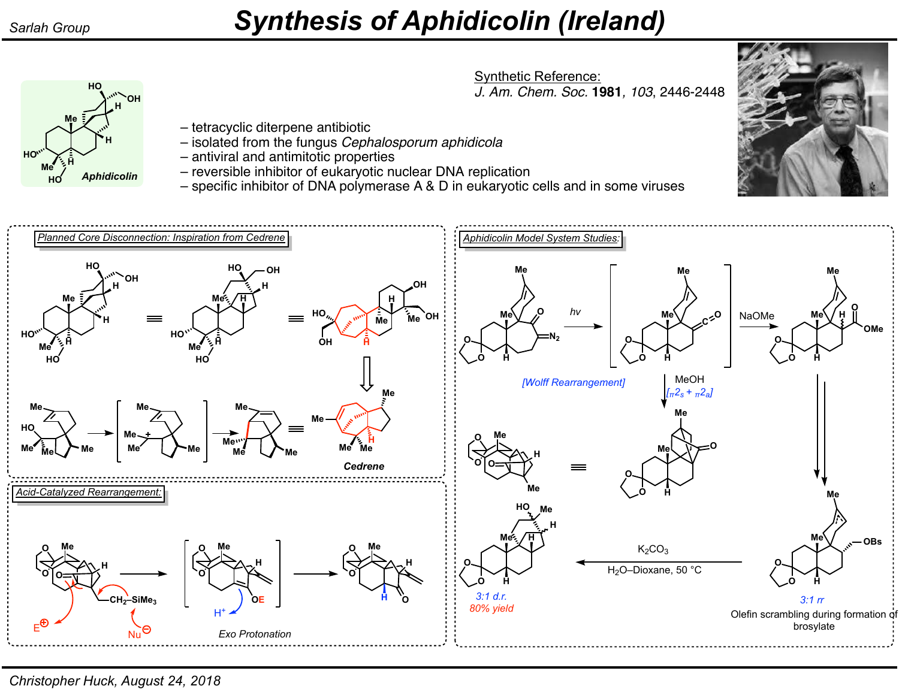**Me**

**HO**

**H**

*Aphidicolin*

**OH H**

**Me <sup>H</sup> HO**

**HO**

## *Sarlah Group Synthesis of Aphidicolin (Ireland)*

Synthetic Reference: *J. Am. Chem. Soc.* **1981***, 103*, 2446-2448

- tetracyclic diterpene antibiotic
- isolated from the fungus *Cephalosporum aphidicola*
- antiviral and antimitotic properties
- reversible inhibitor of eukaryotic nuclear DNA replication
- specific inhibitor of DNA polymerase A & D in eukaryotic cells and in some viruses



*Christopher Huck, August 24, 2018*